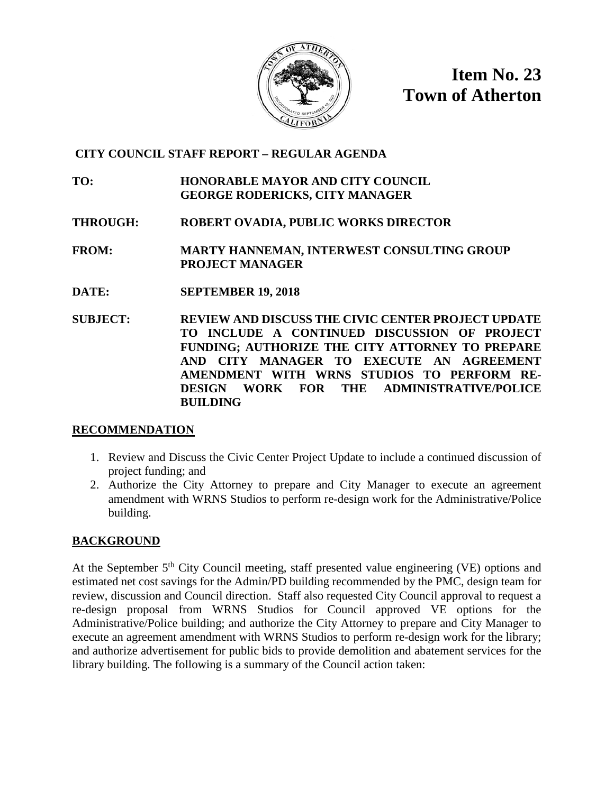

**Item No. 23 Town of Atherton**

# **CITY COUNCIL STAFF REPORT – REGULAR AGENDA**

**TO: HONORABLE MAYOR AND CITY COUNCIL GEORGE RODERICKS, CITY MANAGER**

**THROUGH: ROBERT OVADIA, PUBLIC WORKS DIRECTOR**

**FROM: MARTY HANNEMAN, INTERWEST CONSULTING GROUP PROJECT MANAGER**

- **DATE: SEPTEMBER 19, 2018**
- **SUBJECT: REVIEW AND DISCUSS THE CIVIC CENTER PROJECT UPDATE TO INCLUDE A CONTINUED DISCUSSION OF PROJECT FUNDING; AUTHORIZE THE CITY ATTORNEY TO PREPARE AND CITY MANAGER TO EXECUTE AN AGREEMENT AMENDMENT WITH WRNS STUDIOS TO PERFORM RE-DESIGN WORK FOR THE ADMINISTRATIVE/POLICE BUILDING**

# **RECOMMENDATION**

- 1. Review and Discuss the Civic Center Project Update to include a continued discussion of project funding; and
- 2. Authorize the City Attorney to prepare and City Manager to execute an agreement amendment with WRNS Studios to perform re-design work for the Administrative/Police building.

# **BACKGROUND**

At the September  $5<sup>th</sup>$  City Council meeting, staff presented value engineering (VE) options and estimated net cost savings for the Admin/PD building recommended by the PMC, design team for review, discussion and Council direction. Staff also requested City Council approval to request a re-design proposal from WRNS Studios for Council approved VE options for the Administrative/Police building; and authorize the City Attorney to prepare and City Manager to execute an agreement amendment with WRNS Studios to perform re-design work for the library; and authorize advertisement for public bids to provide demolition and abatement services for the library building. The following is a summary of the Council action taken: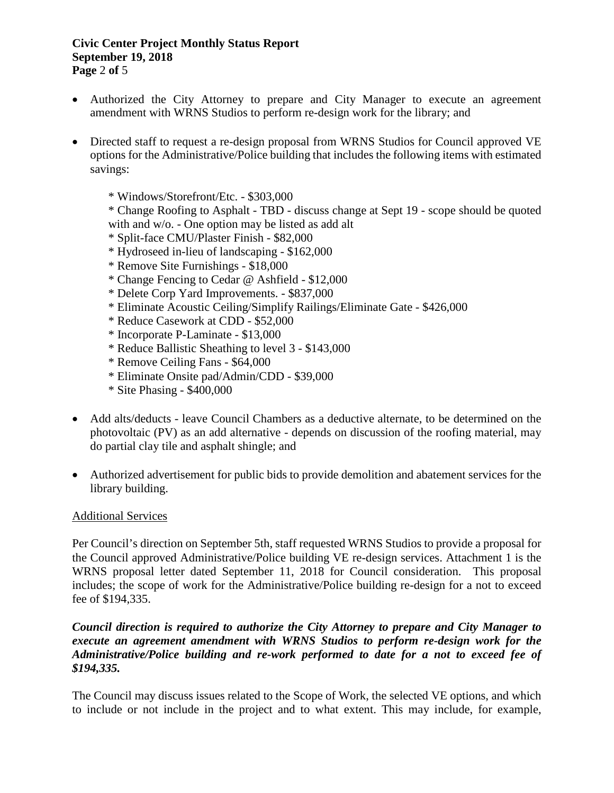#### **Civic Center Project Monthly Status Report September 19, 2018 Page** 2 **of** 5

- Authorized the City Attorney to prepare and City Manager to execute an agreement amendment with WRNS Studios to perform re-design work for the library; and
- Directed staff to request a re-design proposal from WRNS Studios for Council approved VE options for the Administrative/Police building that includes the following items with estimated savings:
	- \* Windows/Storefront/Etc. \$303,000

\* Change Roofing to Asphalt - TBD - discuss change at Sept 19 - scope should be quoted with and w/o. - One option may be listed as add alt

- \* Split-face CMU/Plaster Finish \$82,000
- \* Hydroseed in-lieu of landscaping \$162,000
- \* Remove Site Furnishings \$18,000
- \* Change Fencing to Cedar @ Ashfield \$12,000
- \* Delete Corp Yard Improvements. \$837,000
- \* Eliminate Acoustic Ceiling/Simplify Railings/Eliminate Gate \$426,000
- \* Reduce Casework at CDD \$52,000
- \* Incorporate P-Laminate \$13,000
- \* Reduce Ballistic Sheathing to level 3 \$143,000
- \* Remove Ceiling Fans \$64,000
- \* Eliminate Onsite pad/Admin/CDD \$39,000
- \* Site Phasing \$400,000
- Add alts/deducts leave Council Chambers as a deductive alternate, to be determined on the photovoltaic (PV) as an add alternative - depends on discussion of the roofing material, may do partial clay tile and asphalt shingle; and
- Authorized advertisement for public bids to provide demolition and abatement services for the library building.

#### Additional Services

Per Council's direction on September 5th, staff requested WRNS Studios to provide a proposal for the Council approved Administrative/Police building VE re-design services. Attachment 1 is the WRNS proposal letter dated September 11, 2018 for Council consideration. This proposal includes; the scope of work for the Administrative/Police building re-design for a not to exceed fee of \$194,335.

#### *Council direction is required to authorize the City Attorney to prepare and City Manager to execute an agreement amendment with WRNS Studios to perform re-design work for the Administrative/Police building and re-work performed to date for a not to exceed fee of \$194,335.*

The Council may discuss issues related to the Scope of Work, the selected VE options, and which to include or not include in the project and to what extent. This may include, for example,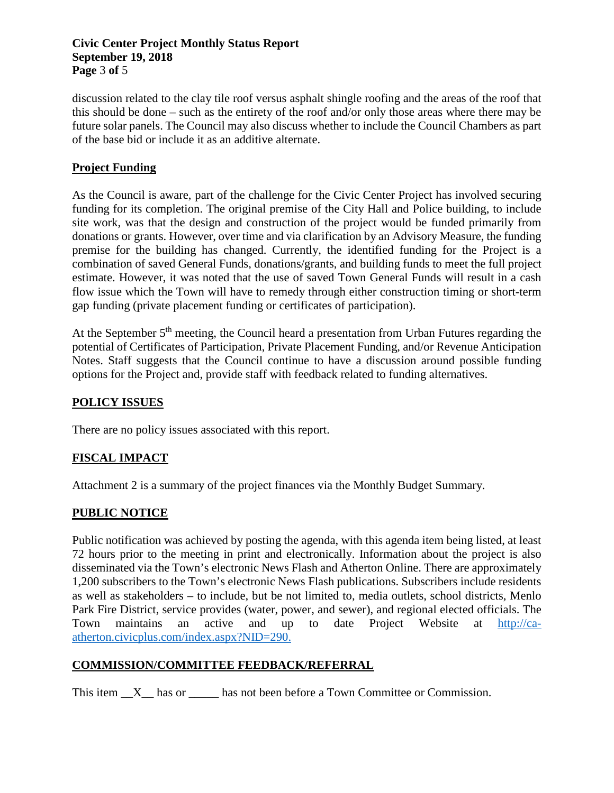#### **Civic Center Project Monthly Status Report September 19, 2018 Page** 3 **of** 5

discussion related to the clay tile roof versus asphalt shingle roofing and the areas of the roof that this should be done – such as the entirety of the roof and/or only those areas where there may be future solar panels. The Council may also discuss whether to include the Council Chambers as part of the base bid or include it as an additive alternate.

# **Project Funding**

As the Council is aware, part of the challenge for the Civic Center Project has involved securing funding for its completion. The original premise of the City Hall and Police building, to include site work, was that the design and construction of the project would be funded primarily from donations or grants. However, over time and via clarification by an Advisory Measure, the funding premise for the building has changed. Currently, the identified funding for the Project is a combination of saved General Funds, donations/grants, and building funds to meet the full project estimate. However, it was noted that the use of saved Town General Funds will result in a cash flow issue which the Town will have to remedy through either construction timing or short-term gap funding (private placement funding or certificates of participation).

At the September 5<sup>th</sup> meeting, the Council heard a presentation from Urban Futures regarding the potential of Certificates of Participation, Private Placement Funding, and/or Revenue Anticipation Notes. Staff suggests that the Council continue to have a discussion around possible funding options for the Project and, provide staff with feedback related to funding alternatives.

# **POLICY ISSUES**

There are no policy issues associated with this report.

# **FISCAL IMPACT**

Attachment 2 is a summary of the project finances via the Monthly Budget Summary.

# **PUBLIC NOTICE**

Public notification was achieved by posting the agenda, with this agenda item being listed, at least 72 hours prior to the meeting in print and electronically. Information about the project is also disseminated via the Town's electronic News Flash and Atherton Online. There are approximately 1,200 subscribers to the Town's electronic News Flash publications. Subscribers include residents as well as stakeholders – to include, but be not limited to, media outlets, school districts, Menlo Park Fire District, service provides (water, power, and sewer), and regional elected officials. The Town maintains an active and up to date Project Website at [http://ca](http://ca-atherton.civicplus.com/index.aspx?NID=290)[atherton.civicplus.com/index.aspx?NID=290.](http://ca-atherton.civicplus.com/index.aspx?NID=290)

# **COMMISSION/COMMITTEE FEEDBACK/REFERRAL**

This item  $X$  has or  $\Box$  has not been before a Town Committee or Commission.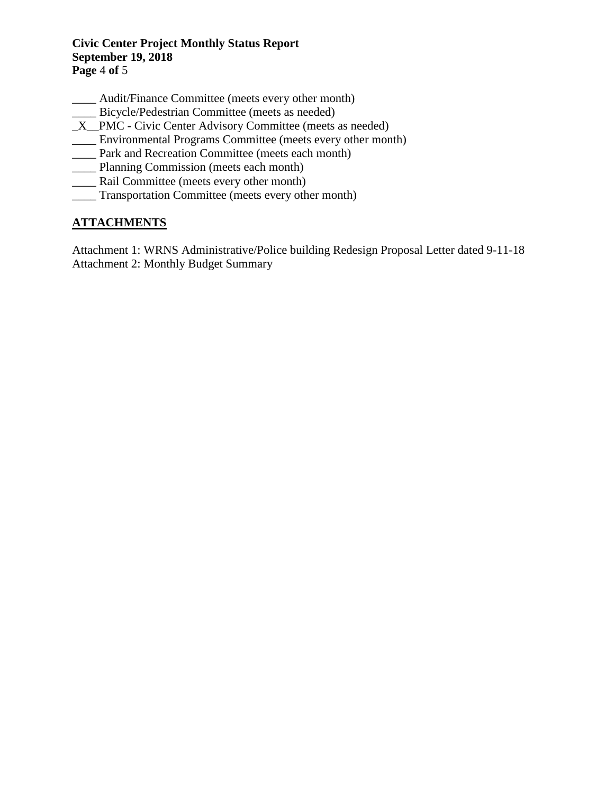#### **Civic Center Project Monthly Status Report September 19, 2018 Page** 4 **of** 5

- \_\_\_\_ Audit/Finance Committee (meets every other month)
- \_\_\_\_ Bicycle/Pedestrian Committee (meets as needed)
- \_X\_\_PMC Civic Center Advisory Committee (meets as needed)
- \_\_\_\_ Environmental Programs Committee (meets every other month)
- \_\_\_\_ Park and Recreation Committee (meets each month)
- \_\_\_\_ Planning Commission (meets each month)
- \_\_\_\_ Rail Committee (meets every other month)
- \_\_\_\_ Transportation Committee (meets every other month)

# **ATTACHMENTS**

Attachment 1: WRNS Administrative/Police building Redesign Proposal Letter dated 9-11-18 Attachment 2: Monthly Budget Summary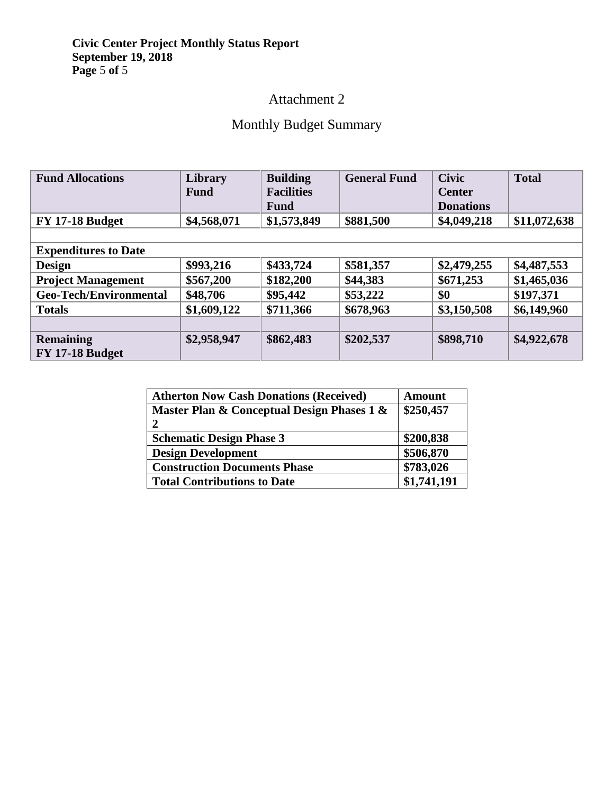#### **Civic Center Project Monthly Status Report September 19, 2018 Page** 5 **of** 5

# Attachment 2

# Monthly Budget Summary

| <b>Fund Allocations</b>       | Library<br><b>Fund</b> | <b>Building</b><br><b>Facilities</b> | <b>General Fund</b> | <b>Civic</b><br><b>Center</b> | <b>Total</b> |
|-------------------------------|------------------------|--------------------------------------|---------------------|-------------------------------|--------------|
|                               |                        | <b>Fund</b>                          |                     | <b>Donations</b>              |              |
|                               |                        |                                      |                     |                               |              |
| <b>FY 17-18 Budget</b>        | \$4,568,071            | \$1,573,849                          | \$881,500           | \$4,049,218                   | \$11,072,638 |
|                               |                        |                                      |                     |                               |              |
| <b>Expenditures to Date</b>   |                        |                                      |                     |                               |              |
| <b>Design</b>                 | \$993,216              | \$433,724                            | \$581,357           | \$2,479,255                   | \$4,487,553  |
| <b>Project Management</b>     | \$567,200              | \$182,200                            | \$44,383            | \$671,253                     | \$1,465,036  |
| <b>Geo-Tech/Environmental</b> | \$48,706               | \$95,442                             | \$53,222            | \$0                           | \$197,371    |
| <b>Totals</b>                 | \$1,609,122            | \$711,366                            | \$678,963           | \$3,150,508                   | \$6,149,960  |
|                               |                        |                                      |                     |                               |              |
| <b>Remaining</b>              | \$2,958,947            | \$862,483                            | \$202,537           | \$898,710                     | \$4,922,678  |
| <b>FY 17-18 Budget</b>        |                        |                                      |                     |                               |              |

| <b>Atherton Now Cash Donations (Received)</b> | <b>Amount</b> |
|-----------------------------------------------|---------------|
| Master Plan & Conceptual Design Phases 1 &    | \$250,457     |
| 2                                             |               |
| <b>Schematic Design Phase 3</b>               | \$200,838     |
| <b>Design Development</b>                     | \$506,870     |
| <b>Construction Documents Phase</b>           | \$783,026     |
| <b>Total Contributions to Date</b>            | \$1,741,191   |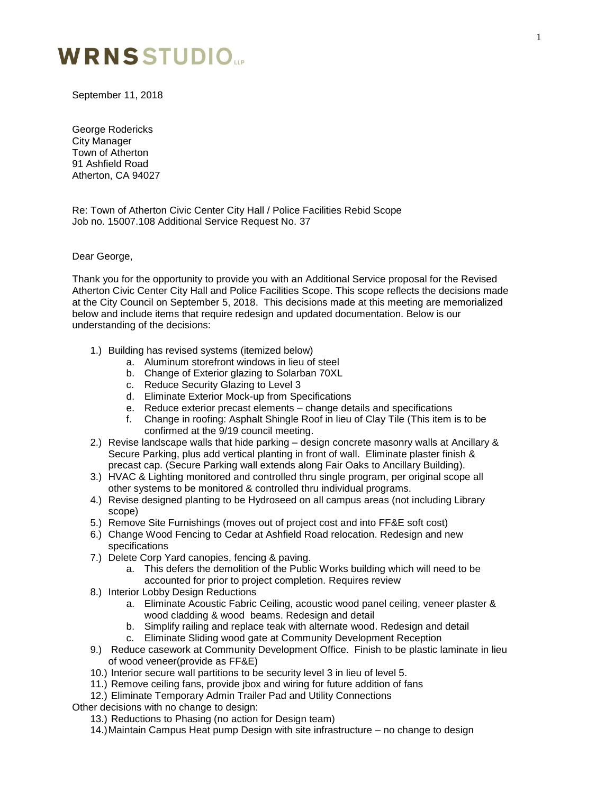#### IDMC CTUDIA JUNE 1

September 11, 2018

George Rodericks City Manager Town of Atherton 91 Ashfield Road Atherton, CA 94027

Re: Town of Atherton Civic Center City Hall / Police Facilities Rebid Scope Job no. 15007.108 Additional Service Request No. 37

Dear George,

Thank you for the opportunity to provide you with an Additional Service proposal for the Revised Atherton Civic Center City Hall and Police Facilities Scope. This scope reflects the decisions made at the City Council on September 5, 2018. This decisions made at this meeting are memorialized below and include items that require redesign and updated documentation. Below is our understanding of the decisions:

- 1.) Building has revised systems (itemized below)
	- a. Aluminum storefront windows in lieu of steel
	- b. Change of Exterior glazing to Solarban 70XL
	- c. Reduce Security Glazing to Level 3
	- d. Eliminate Exterior Mock-up from Specifications
	- e. Reduce exterior precast elements change details and specifications
	- f. Change in roofing: Asphalt Shingle Roof in lieu of Clay Tile (This item is to be confirmed at the 9/19 council meeting.
- 2.) Revise landscape walls that hide parking design concrete masonry walls at Ancillary & Secure Parking, plus add vertical planting in front of wall. Eliminate plaster finish & precast cap. (Secure Parking wall extends along Fair Oaks to Ancillary Building).
- 3.) HVAC & Lighting monitored and controlled thru single program, per original scope all other systems to be monitored & controlled thru individual programs.
- 4.) Revise designed planting to be Hydroseed on all campus areas (not including Library scope)
- 5.) Remove Site Furnishings (moves out of project cost and into FF&E soft cost)
- 6.) Change Wood Fencing to Cedar at Ashfield Road relocation. Redesign and new specifications
- 7.) Delete Corp Yard canopies, fencing & paving.
	- a. This defers the demolition of the Public Works building which will need to be accounted for prior to project completion. Requires review
- 8.) Interior Lobby Design Reductions
	- a. Eliminate Acoustic Fabric Ceiling, acoustic wood panel ceiling, veneer plaster & wood cladding & wood beams. Redesign and detail
	- b. Simplify railing and replace teak with alternate wood. Redesign and detail
	- c. Eliminate Sliding wood gate at Community Development Reception
- 9.) Reduce casework at Community Development Office. Finish to be plastic laminate in lieu of wood veneer(provide as FF&E)
- 10.) Interior secure wall partitions to be security level 3 in lieu of level 5.
- 11.) Remove ceiling fans, provide jbox and wiring for future addition of fans
- 12.) Eliminate Temporary Admin Trailer Pad and Utility Connections

Other decisions with no change to design:

- 13.) Reductions to Phasing (no action for Design team)
- 14.)Maintain Campus Heat pump Design with site infrastructure no change to design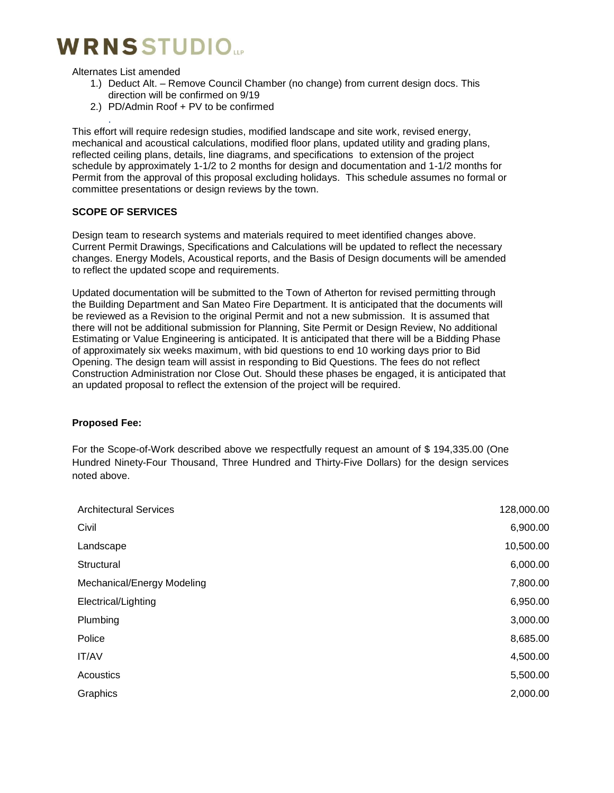# **WRNSSTUDIO**

Alternates List amended

.

- 1.) Deduct Alt. Remove Council Chamber (no change) from current design docs. This direction will be confirmed on 9/19
- 2.) PD/Admin Roof + PV to be confirmed

This effort will require redesign studies, modified landscape and site work, revised energy, mechanical and acoustical calculations, modified floor plans, updated utility and grading plans, reflected ceiling plans, details, line diagrams, and specifications to extension of the project schedule by approximately 1-1/2 to 2 months for design and documentation and 1-1/2 months for Permit from the approval of this proposal excluding holidays. This schedule assumes no formal or committee presentations or design reviews by the town.

#### **SCOPE OF SERVICES**

Design team to research systems and materials required to meet identified changes above. Current Permit Drawings, Specifications and Calculations will be updated to reflect the necessary changes. Energy Models, Acoustical reports, and the Basis of Design documents will be amended to reflect the updated scope and requirements.

Updated documentation will be submitted to the Town of Atherton for revised permitting through the Building Department and San Mateo Fire Department. It is anticipated that the documents will be reviewed as a Revision to the original Permit and not a new submission. It is assumed that there will not be additional submission for Planning, Site Permit or Design Review, No additional Estimating or Value Engineering is anticipated. It is anticipated that there will be a Bidding Phase of approximately six weeks maximum, with bid questions to end 10 working days prior to Bid Opening. The design team will assist in responding to Bid Questions. The fees do not reflect Construction Administration nor Close Out. Should these phases be engaged, it is anticipated that an updated proposal to reflect the extension of the project will be required.

#### **Proposed Fee:**

For the Scope-of-Work described above we respectfully request an amount of \$ 194,335.00 (One Hundred Ninety-Four Thousand, Three Hundred and Thirty-Five Dollars) for the design services noted above.

| <b>Architectural Services</b> | 128,000.00 |
|-------------------------------|------------|
| Civil                         | 6,900.00   |
| Landscape                     | 10,500.00  |
| Structural                    | 6,000.00   |
| Mechanical/Energy Modeling    | 7,800.00   |
| Electrical/Lighting           | 6,950.00   |
| Plumbing                      | 3,000.00   |
| Police                        | 8,685.00   |
| IT/AV                         | 4,500.00   |
| Acoustics                     | 5,500.00   |
| Graphics                      | 2,000.00   |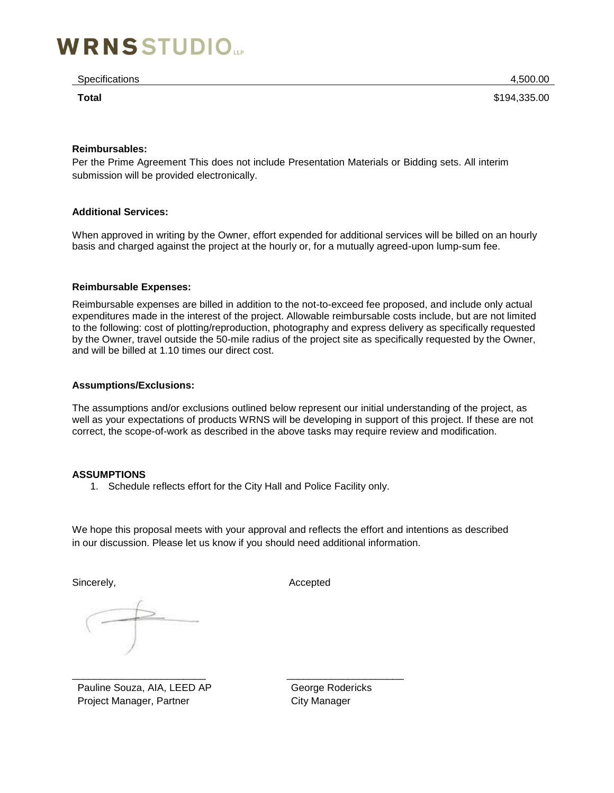# **WRNSSTUDIO**

Specifications 4,500.00

**Total** \$194,335.00

#### **Reimbursables:**

Per the Prime Agreement This does not include Presentation Materials or Bidding sets. All interim submission will be provided electronically.

#### **Additional Services:**

When approved in writing by the Owner, effort expended for additional services will be billed on an hourly basis and charged against the project at the hourly or, for a mutually agreed-upon lump-sum fee.

#### **Reimbursable Expenses:**

Reimbursable expenses are billed in addition to the not-to-exceed fee proposed, and include only actual expenditures made in the interest of the project. Allowable reimbursable costs include, but are not limited to the following: cost of plotting/reproduction, photography and express delivery as specifically requested by the Owner, travel outside the 50-mile radius of the project site as specifically requested by the Owner, and will be billed at 1.10 times our direct cost.

#### **Assumptions/Exclusions:**

The assumptions and/or exclusions outlined below represent our initial understanding of the project, as well as your expectations of products WRNS will be developing in support of this project. If these are not correct, the scope-of-work as described in the above tasks may require review and modification.

#### **ASSUMPTIONS**

1. Schedule reflects effort for the City Hall and Police Facility only.

We hope this proposal meets with your approval and reflects the effort and intentions as described in our discussion. Please let us know if you should need additional information.

Sincerely, and the state of the Sincerely, and the Sincerely, and the Accepted

\_\_\_\_\_\_\_\_\_\_\_\_\_\_\_\_\_\_\_\_\_\_\_\_ \_\_\_\_\_\_\_\_\_\_\_\_\_\_\_\_\_\_\_\_\_ Pauline Souza, AIA, LEED AP Project Manager, Partner

George Rodericks City Manager